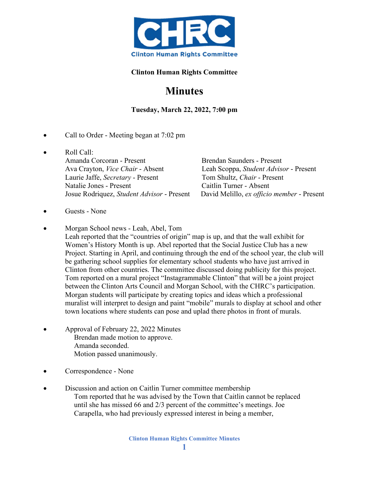

## **Clinton Human Rights Committee**

## **Minutes**

**Tuesday, March 22, 2022, 7:00 pm**

- Call to Order Meeting began at 7:02 pm
- Roll Call: Amanda Corcoran - Present Brendan Saunders - Present Ava Crayton, *Vice Chair* - Absent Leah Scoppa, *Student Advisor* - Present Laurie Jaffe, *Secretary* - Present Tom Shultz, *Chair* - Present Natalie Jones - Present Caitlin Turner - Absent

Josue Rodriquez, *Student Advisor* - Present David Melillo, *ex officio member* - Present

- Guests None
- Morgan School news Leah, Abel, Tom Leah reported that the "countries of origin" map is up, and that the wall exhibit for Women's History Month is up. Abel reported that the Social Justice Club has a new Project. Starting in April, and continuing through the end of the school year, the club will be gathering school supplies for elementary school students who have just arrived in Clinton from other countries. The committee discussed doing publicity for this project. Tom reported on a mural project "Instagrammable Clinton" that will be a joint project between the Clinton Arts Council and Morgan School, with the CHRC's participation. Morgan students will participate by creating topics and ideas which a professional muralist will interpret to design and paint "mobile" murals to display at school and other town locations where students can pose and uplad there photos in front of murals.
- Approval of February 22, 2022 Minutes Brendan made motion to approve. Amanda seconded. Motion passed unanimously.
- Correspondence None
- Discussion and action on Caitlin Turner committee membership Tom reported that he was advised by the Town that Caitlin cannot be replaced until she has missed 66 and 2/3 percent of the committee's meetings. Joe Carapella, who had previously expressed interest in being a member,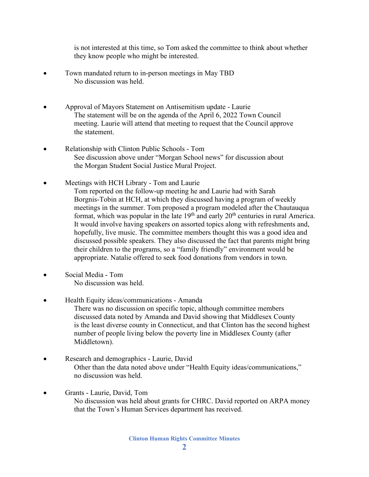is not interested at this time, so Tom asked the committee to think about whether they know people who might be interested.

- Town mandated return to in-person meetings in May TBD No discussion was held.
- Approval of Mayors Statement on Antisemitism update Laurie The statement will be on the agenda of the April 6, 2022 Town Council meeting. Laurie will attend that meeting to request that the Council approve the statement.
- Relationship with Clinton Public Schools Tom See discussion above under "Morgan School news" for discussion about the Morgan Student Social Justice Mural Project.
- Meetings with HCH Library Tom and Laurie Tom reported on the follow-up meeting he and Laurie had with Sarah Borgnis-Tobin at HCH, at which they discussed having a program of weekly meetings in the summer. Tom proposed a program modeled after the Chautauqua format, which was popular in the late  $19<sup>th</sup>$  and early  $20<sup>th</sup>$  centuries in rural America. It would involve having speakers on assorted topics along with refreshments and, hopefully, live music. The committee members thought this was a good idea and discussed possible speakers. They also discussed the fact that parents might bring their children to the programs, so a "family friendly" environment would be appropriate. Natalie offered to seek food donations from vendors in town.
- Social Media Tom No discussion was held.
- Health Equity ideas/communications Amanda

 There was no discussion on specific topic, although committee members discussed data noted by Amanda and David showing that Middlesex County is the least diverse county in Connecticut, and that Clinton has the second highest number of people living below the poverty line in Middlesex County (after Middletown).

- Research and demographics Laurie, David Other than the data noted above under "Health Equity ideas/communications," no discussion was held.
- Grants Laurie, David, Tom No discussion was held about grants for CHRC. David reported on ARPA money that the Town's Human Services department has received.